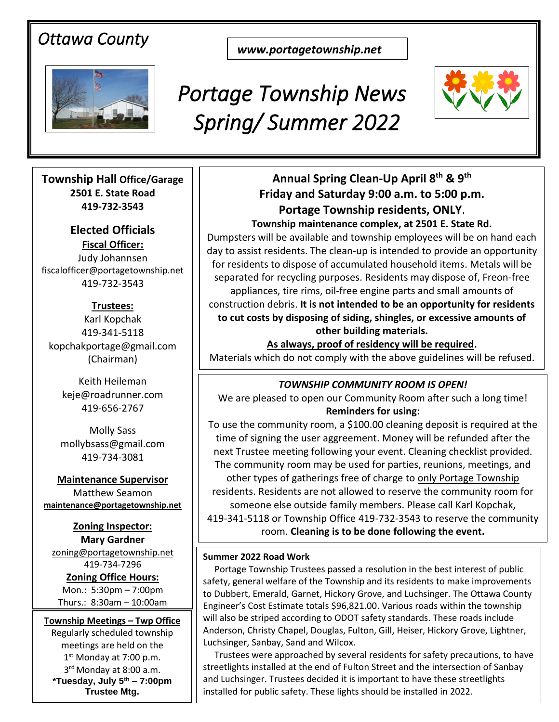# *Ottawa County*

*www.portagetownship.net*



# *Portage Township News Spring/ Summer 2022*



**Township Hall Office/Garage 2501 E. State Road 419-732-3543**

**A long time community Elected Officials Fiscal Officer:** fiscalofficer@portagetownship.net 419-732-3543

**Trustees:** Karl Kopchak 419-341-5118 kopchakportage@gmail.com (Chairman)

Keith Heileman keje@roadrunner.com 419-656-2767

Molly Sass mollybsass@gmail.com 419-734-3081

**Maintenance Supervisor** Matthew Seamon **[maintenance@portagetownship.net](mailto:maintenance@portagetownship.net)**

**Zoning Inspector: Mary Gardner** [zoning@portagetownship.net](mailto:zoning@portagetownship.net) 419-734-7296

**Zoning Office Hours:** Mon.: 5:30pm – 7:00pm Thurs.: 8:30am – 10:00am

**Township Meetings – Twp Office** Regularly scheduled township meetings are held on the 1<sup>st</sup> Monday at 7:00 p.m. 3<sup>rd</sup> Monday at 8:00 a.m. **\*Tuesday, July 5th – 7:00pm Trustee Mtg.**

# **Friday and Saturday 9:00 a.m. to 5:00 p.m. Portage Township residents, ONLY**. **Annual Spring Clean-Up April 8 th & 9 th**

**Township maintenance complex, at 2501 E. State Rd.** Dumpsters will be available and township employees will be on hand each day to assist residents. The clean-up is intended to provide an opportunity for residents to dispose of accumulated household items. Metals will be separated for recycling purposes. Residents may dispose of, Freon-free appliances, tire rims, oil-free engine parts and small amounts of construction debris. **It is not intended to be an opportunity for residents to cut costs by disposing of siding, shingles, or excessive amounts of other building materials.**

**As always, proof of residency will be required.** Materials which do not comply with the above guidelines will be refused.

## *TOWNSHIP COMMUNITY ROOM IS OPEN!*

We are pleased to open our Community Room after such a long time! **Reminders for using:**

To use the community room, a \$100.00 cleaning deposit is required at the time of signing the user aggreement. Money will be refunded after the next Trustee meeting following your event. Cleaning checklist provided. The community room may be used for parties, reunions, meetings, and other types of gatherings free of charge to only Portage Township residents. Residents are not allowed to reserve the community room for someone else outside family members. Please call Karl Kopchak, 419-341-5118 or Township Office 419-732-3543 to reserve the community room. **Cleaning is to be done following the event.**

#### **Summer 2022 Road Work**

 Portage Township Trustees passed a resolution in the best interest of public safety, general welfare of the Township and its residents to make improvements to Dubbert, Emerald, Garnet, Hickory Grove, and Luchsinger. The Ottawa County Engineer's Cost Estimate totals \$96,821.00. Various roads within the township will also be striped according to ODOT safety standards. These roads include Anderson, Christy Chapel, Douglas, Fulton, Gill, Heiser, Hickory Grove, Lightner, Luchsinger, Sanbay, Sand and Wilcox.

 Trustees were approached by several residents for safety precautions, to have streetlights installed at the end of Fulton Street and the intersection of Sanbay and Luchsinger. Trustees decided it is important to have these streetlights installed for public safety. These lights should be installed in 2022.